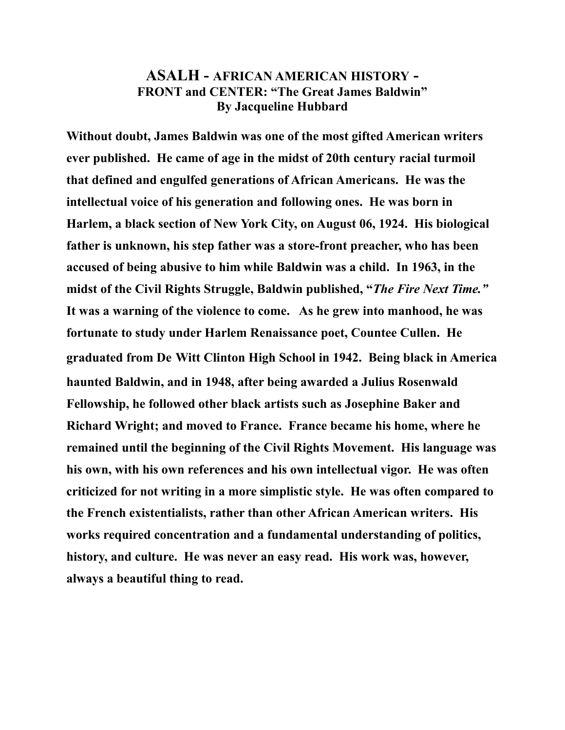## **ASALH - AFRICAN AMERICAN HISTORY - FRONT and CENTER: "The Great James Baldwin" By Jacqueline Hubbard**

**Without doubt, James Baldwin was one of the most gifted American writers ever published. He came of age in the midst of 20th century racial turmoil that defined and engulfed generations of African Americans. He was the intellectual voice of his generation and following ones. He was born in Harlem, a black section of New York City, on August 06, 1924. His biological father is unknown, his step father was a store-front preacher, who has been accused of being abusive to him while Baldwin was a child. In 1963, in the midst of the Civil Rights Struggle, Baldwin published, "***The Fire Next Time."*  **It was a warning of the violence to come. As he grew into manhood, he was fortunate to study under Harlem Renaissance poet, Countee Cullen. He graduated from De Witt Clinton High School in 1942. Being black in America haunted Baldwin, and in 1948, after being awarded a Julius Rosenwald Fellowship, he followed other black artists such as Josephine Baker and Richard Wright; and moved to France. France became his home, where he remained until the beginning of the Civil Rights Movement. His language was his own, with his own references and his own intellectual vigor. He was often criticized for not writing in a more simplistic style. He was often compared to the French existentialists, rather than other African American writers. His works required concentration and a fundamental understanding of politics, history, and culture. He was never an easy read. His work was, however, always a beautiful thing to read.**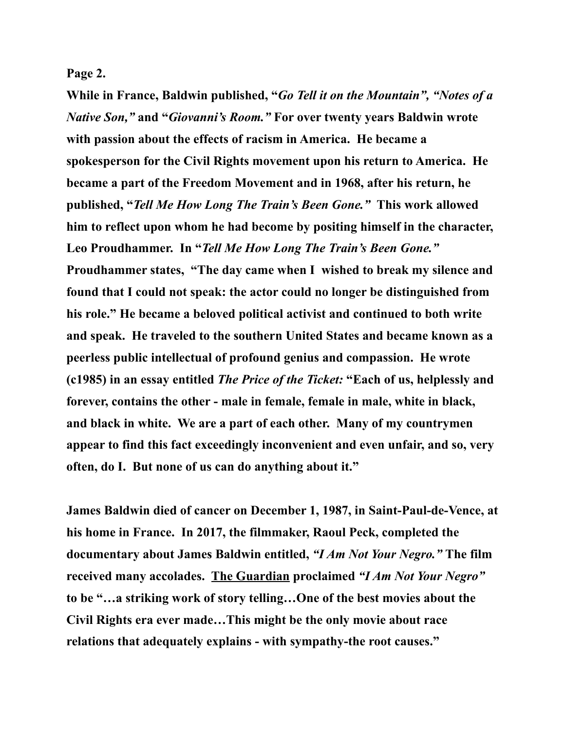## **Page 2.**

**While in France, Baldwin published, "***Go Tell it on the Mountain", "Notes of a Native Son,"* **and "***Giovanni's Room."* **For over twenty years Baldwin wrote with passion about the effects of racism in America. He became a spokesperson for the Civil Rights movement upon his return to America. He became a part of the Freedom Movement and in 1968, after his return, he published, "***Tell Me How Long The Train's Been Gone."* **This work allowed him to reflect upon whom he had become by positing himself in the character, Leo Proudhammer. In "***Tell Me How Long The Train's Been Gone."*  **Proudhammer states, "The day came when I wished to break my silence and found that I could not speak: the actor could no longer be distinguished from his role." He became a beloved political activist and continued to both write and speak. He traveled to the southern United States and became known as a peerless public intellectual of profound genius and compassion. He wrote (c1985) in an essay entitled** *The Price of the Ticket:* **"Each of us, helplessly and forever, contains the other - male in female, female in male, white in black, and black in white. We are a part of each other. Many of my countrymen appear to find this fact exceedingly inconvenient and even unfair, and so, very often, do I. But none of us can do anything about it."** 

**James Baldwin died of cancer on December 1, 1987, in Saint-Paul-de-Vence, at his home in France. In 2017, the filmmaker, Raoul Peck, completed the documentary about James Baldwin entitled,** *"I Am Not Your Negro."* **The film received many accolades. The Guardian proclaimed** *"I Am Not Your Negro"* **to be "…a striking work of story telling…One of the best movies about the Civil Rights era ever made…This might be the only movie about race relations that adequately explains - with sympathy-the root causes."**